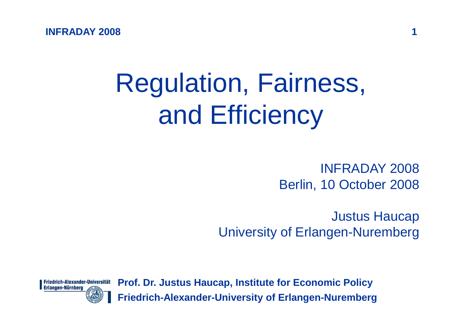**INFRADAY 2008<sup>1</sup>**

# Regulation, Fairness,and Efficiency

INFRADAY 2008Berlin, 10 October 2008

Justus Haucap University of Erlangen-Nuremberg

Friedrich-Alexander-Universität Erlangen-Nürnberg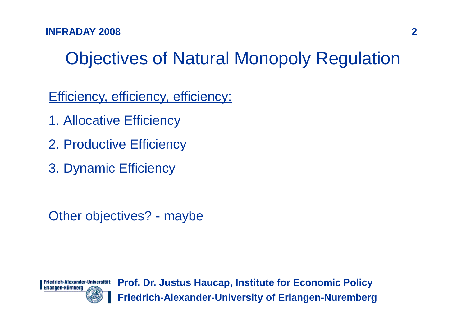# Objectives of Natural Monopoly Regulation

Efficiency, efficiency, efficiency:

- 1. Allocative Efficiency
- 2. Productive Efficiency
- 3. Dynamic Efficiency

Other objectives? - maybe

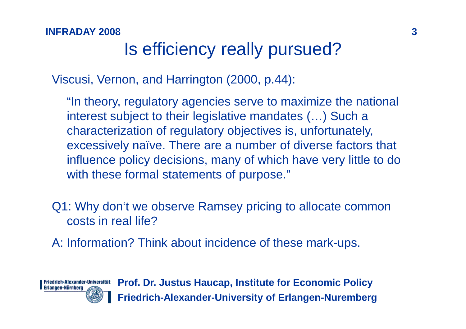### **<sup>3</sup>** Is efficiency really pursued?

Viscusi, Vernon, and Harrington (2000, p.44):

"In theory, regulatory agencies serve to maximize the national interest subject to their legislative mandates (…) Such a characterization of regulatory objectives is, unfortunately, excessively naïve. There are a number of diverse factors that influence policy decisions, many of which have very little to do with these formal statements of purpose."

Q1: Why don't we observe Ramsey pricing to allocate common costs in real life?

A: Information? Think about incidence of these mark-ups.

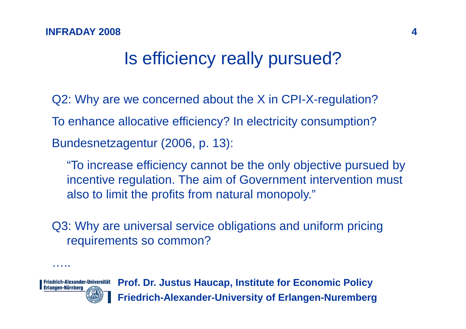### Is efficiency really pursued?

Q2: Why are we concerned about the X in CPI-X-regulation?To enhance allocative efficiency? In electricity consumption?Bundesnetzagentur (2006, p. 13):

"To increase efficiency cannot be the only objective pursued by incentive regulation. The aim of Government intervention must also to limit the profits from natural monopoly."

Q3: Why are universal service obligations and uniform pricing requirements so common?



…..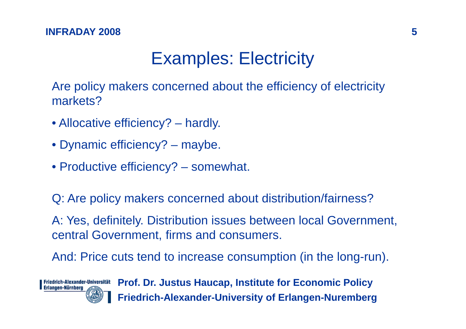## Examples: Electricity

Are policy makers concerned about the efficiency of electricity markets?

- Allocative efficiency? hardly.
- Dynamic efficiency? maybe.
- Productive efficiency? somewhat.

Q: Are policy makers concerned about distribution/fairness?

A: Yes, definitely. Distribution issues between local Government, central Government, firms and consumers.

And: Price cuts tend to increase consumption (in the long-run).

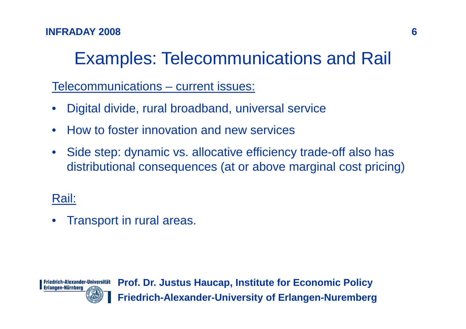#### **INFRADAY 2008<sup>6</sup>**

# Examples: Telecommunications and Rail

Telecommunications – current issues:

- $\bullet$ Digital divide, rural broadband, universal service
- $\bullet$ How to foster innovation and new services
- $\bullet$  Side step: dynamic vs. allocative efficiency trade-off also has distributional consequences (at or above marginal cost pricing)

### Rail:

•Transport in rural areas.

Friedrich-Alexander-Universität Erlangen-Nürnberg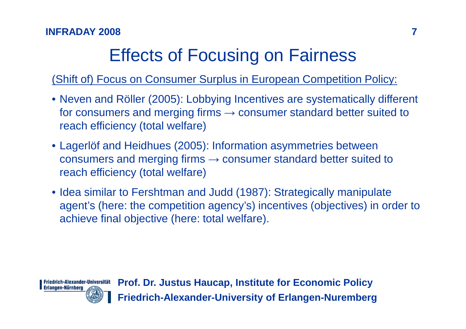# Effects of Focusing on Fairness

(Shift of) Focus on Consumer Surplus in European Competition Policy:

- Neven and Röller (2005): Lobbying Incentives are systematically different for consumers and merging firms  $\rightarrow$  consumer standard better suited to reach efficiency (total welfare)
- Lagerlöf and Heidhues (2005): Information asymmetries between consumers and merging firms  $\rightarrow$  consumer standard better suited to reach efficiency (total welfare)
- Idea similar to Fershtman and Judd (1987): Strategically manipulate agent's (here: the competition agency's) incentives (objectives) in order to achieve final objective (here: total welfare).

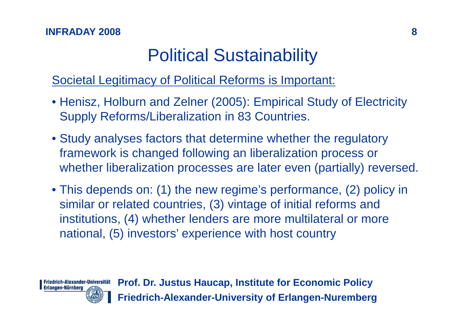## Political Sustainability

### Societal Legitimacy of Political Reforms is Important:

- Henisz, Holburn and Zelner (2005): Empirical Study of Electricity Supply Reforms/Liberalization in 83 Countries.
- Study analyses factors that determine whether the regulatory framework is changed following an liberalization process or whether liberalization processes are later even (partially) reversed.
- This depends on: (1) the new regime's performance, (2) policy in similar or related countries, (3) vintage of initial reforms and institutions, (4) whether lenders are more multilateral or more national, (5) investors' experience with host country

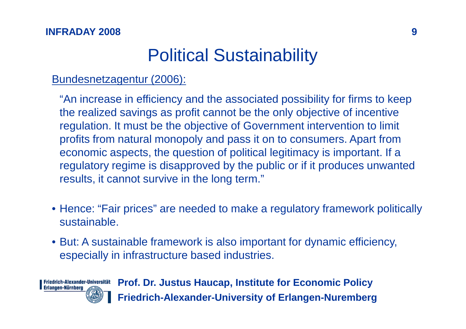### Political Sustainability

### Bundesnetzagentur (2006):

"An increase in efficiency and the associated possibility for firms to keep the realized savings as profit cannot be the only objective of incentive regulation. It must be the objective of Government intervention to limit profits from natural monopoly and pass it on to consumers. Apart from economic aspects, the question of political legitimacy is important. If a regulatory regime is disapproved by the public or if it produces unwanted results, it cannot survive in the long term."

- Hence: "Fair prices" are needed to make a regulatory framework politically sustainable.
- But: A sustainable framework is also important for dynamic efficiency, especially in infrastructure based industries.

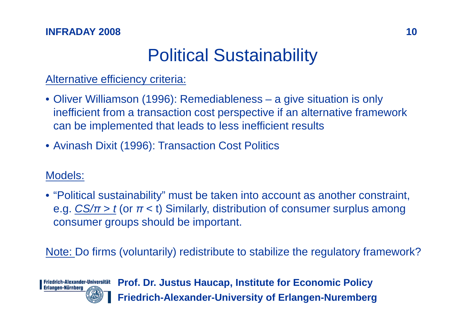#### **INFRADAY 2008**

### Political Sustainability

### Alternative efficiency criteria:

- Oliver Williamson (1996): Remediableness a give situation is only inefficient from a transaction cost perspective if an alternative framework can be implemented that leads to less inefficient results
- Avinash Dixit (1996): Transaction Cost Politics

### Models:

• "Political sustainability" must be taken into account as another constraint, e.g. <u>CS/π > t</u> (or π < t) Similarly, distribution of consumer surplus among consumer groups should be important.

Note: Do firms (voluntarily) redistribute to stabilize the regulatory framework?

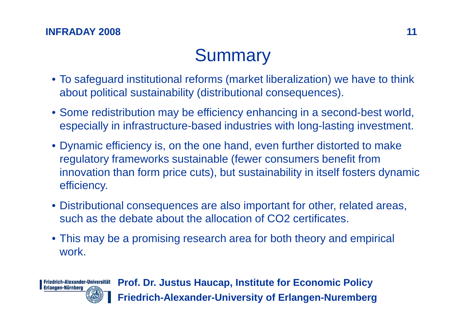#### **INFRADAY 2008**

# **Summary**

- To safeguard institutional reforms (market liberalization) we have to think about political sustainability (distributional consequences).
- Some redistribution may be efficiency enhancing in a second-best world, especially in infrastructure-based industries with long-lasting investment.
- Dynamic efficiency is, on the one hand, even further distorted to make regulatory frameworks sustainable (fewer consumers benefit from innovation than form price cuts), but sustainability in itself fosters dynamic efficiency.
- Distributional consequences are also important for other, related areas, such as the debate about the allocation of CO2 certificates.
- This may be a promising research area for both theory and empirical work.